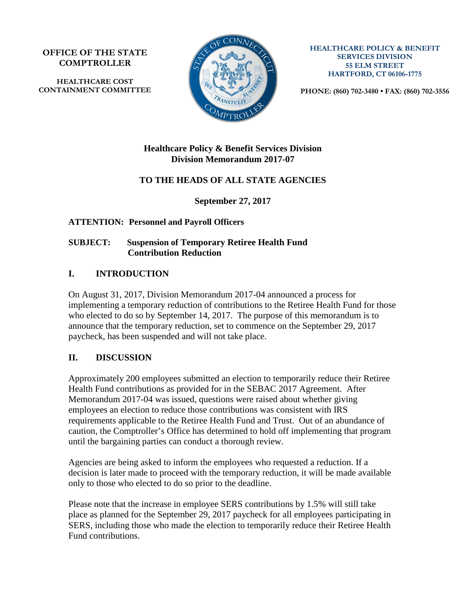**OFFICE OF THE STATE COMPTROLLER**

**HEALTHCARE COST CONTAINMENT COMMITTEE**



**HEALTHCARE POLICY & BENEFIT SERVICES DIVISION 55 ELM STREET HARTFORD, CT 06106-1775**

**PHONE: (860) 702-3480 • FAX: (860) 702-3556**

#### **Healthcare Policy & Benefit Services Division Division Memorandum 2017-07**

# **TO THE HEADS OF ALL STATE AGENCIES**

**September 27, 2017**

## **ATTENTION: Personnel and Payroll Officers**

#### **SUBJECT: Suspension of Temporary Retiree Health Fund Contribution Reduction**

## **I. INTRODUCTION**

On August 31, 2017, Division Memorandum 2017-04 announced a process for implementing a temporary reduction of contributions to the Retiree Health Fund for those who elected to do so by September 14, 2017. The purpose of this memorandum is to announce that the temporary reduction, set to commence on the September 29, 2017 paycheck, has been suspended and will not take place.

# **II. DISCUSSION**

Approximately 200 employees submitted an election to temporarily reduce their Retiree Health Fund contributions as provided for in the SEBAC 2017 Agreement. After Memorandum 2017-04 was issued, questions were raised about whether giving employees an election to reduce those contributions was consistent with IRS requirements applicable to the Retiree Health Fund and Trust. Out of an abundance of caution, the Comptroller's Office has determined to hold off implementing that program until the bargaining parties can conduct a thorough review.

Agencies are being asked to inform the employees who requested a reduction. If a decision is later made to proceed with the temporary reduction, it will be made available only to those who elected to do so prior to the deadline.

Please note that the increase in employee SERS contributions by 1.5% will still take place as planned for the September 29, 2017 paycheck for all employees participating in SERS, including those who made the election to temporarily reduce their Retiree Health Fund contributions.